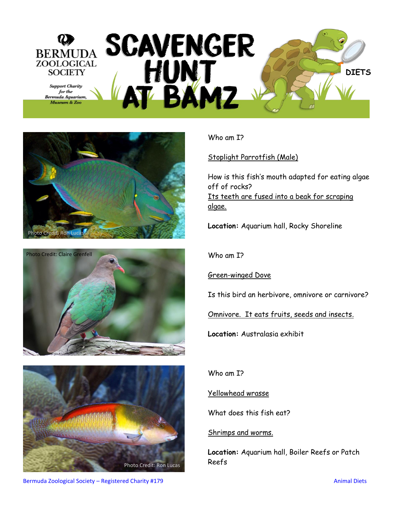## SCAVENGER BERMUDA **ZOOLOGICAL** HUNT<br>AT BAMZ **SOCIETY DIETS Support Charity** for the Bermuda Aquarium, Museum & Zoo







Who am I?

Stoplight Parrotfish (Male)

How is this fish's mouth adapted for eating algae off of rocks? Its teeth are fused into a beak for scraping algae.

**Location:** Aquarium hall, Rocky Shoreline

Who am I?

Green-winged Dove

Is this bird an herbivore, omnivore or carnivore?

Omnivore. It eats fruits, seeds and insects.

**Location:** Australasia exhibit

Who am I?

Yellowhead wrasse

What does this fish eat?

## Shrimps and worms.

**Location:** Aquarium hall, Boiler Reefs or Patch

Bermuda Zoological Society – Registered Charity #179 Animal Diets Animal Diets Animal Diets Animal Diets Animal Diets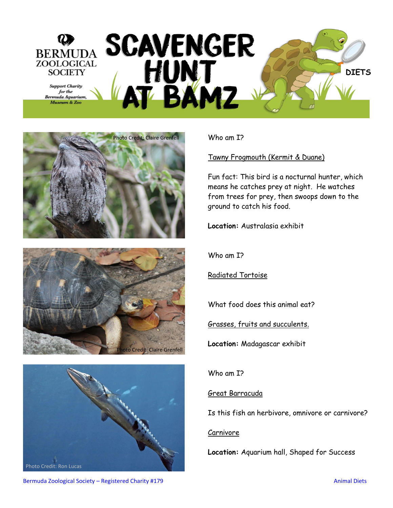







Who am I?

Tawny Frogmouth (Kermit & Duane)

Fun fact: This bird is a nocturnal hunter, which means he catches prey at night. He watches from trees for prey, then swoops down to the ground to catch his food.

**Location:** Australasia exhibit

Who am I?

Radiated Tortoise

What food does this animal eat?

Grasses, fruits and succulents.

**Location:** Madagascar exhibit

Who am I?

## Great Barracuda

Is this fish an herbivore, omnivore or carnivore?

## Carnivore

**Location:** Aquarium hall, Shaped for Success

Bermuda Zoological Society – Registered Charity #179 Animal Diets Animal Diets Animal Diets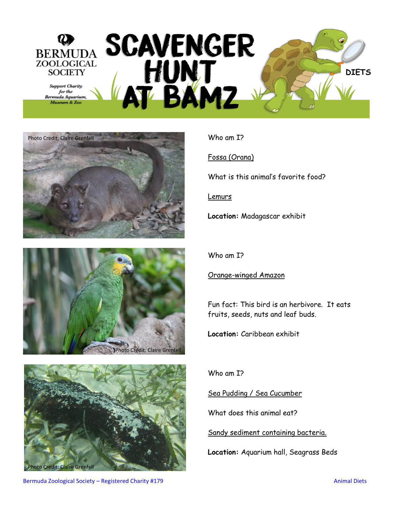







Who am I?

Fossa (Orana)

What is this animal's favorite food?

Lemurs

**Location:** Madagascar exhibit

Who am I?

Orange-winged Amazon

Fun fact: This bird is an herbivore. It eats fruits, seeds, nuts and leaf buds.

**Location:** Caribbean exhibit

Who am I?

Sea Pudding / Sea Cucumber

What does this animal eat?

Sandy sediment containing bacteria.

**Location:** Aquarium hall, Seagrass Beds

Bermuda Zoological Society – Registered Charity #179 Animal Diets Animal Diets Animal Diets